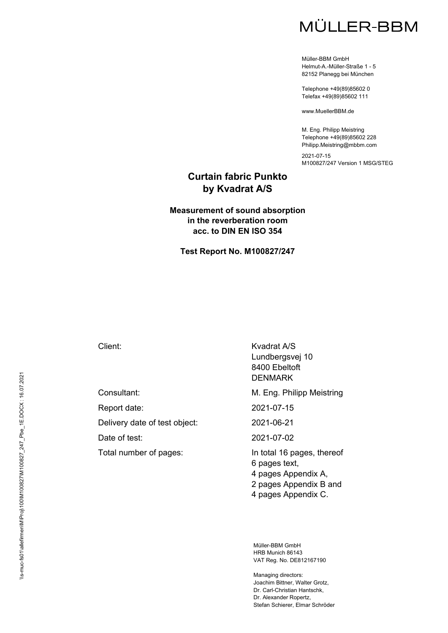Müller-BBM GmbH Helmut-A.-Müller-Straße 1 - 5 82152 Planegg bei München

Telephone +49(89)85602 0 Telefax +49(89)85602 111

www.MuellerBBM.de

M. Eng. Philipp Meistring Telephone +49(89)85602 228 Philipp.Meistring@mbbm.com

2021-07-15 M100827/247 Version 1 MSG/STEG

### **Curtain fabric Punkto by Kvadrat A/S**

#### **Measurement of sound absorption in the reverberation room acc. to DIN EN ISO 354**

**Test Report No. M100827/247** 

Delivery date of test object: 2021-06-21

Total number of pages: In total 16 pages, thereof

Client: Kvadrat A/S Lundbergsvej 10 8400 Ebeltoft DENMARK

Consultant: Consultant: Consultant: Consultant: M. Eng. Philipp Meistring

Report date: 2021-07-15

Date of test: 2021-07-02

6 pages text, 4 pages Appendix A, 2 pages Appendix B and 4 pages Appendix C.

Müller-BBM GmbH HRB Munich 86143 VAT Reg. No. DE812167190

Managing directors: Joachim Bittner, Walter Grotz, Dr. Carl-Christian Hantschk, Dr. Alexander Ropertz, Stefan Schierer, Elmar Schröder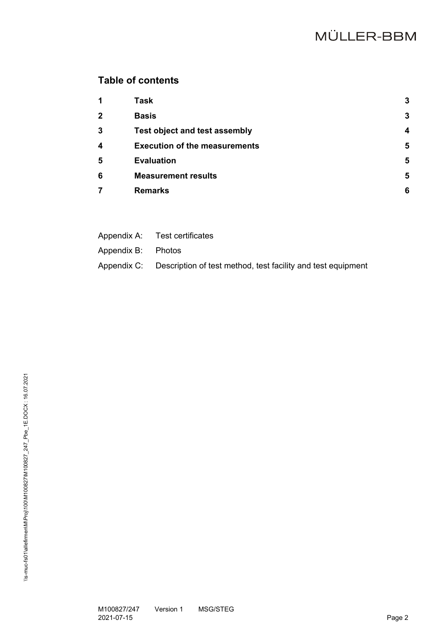# **Table of contents**

| 1                       | Task                                 | 3 |
|-------------------------|--------------------------------------|---|
| $\overline{2}$          | <b>Basis</b>                         | 3 |
| 3                       | <b>Test object and test assembly</b> | Δ |
| $\overline{\mathbf{4}}$ | <b>Execution of the measurements</b> | 5 |
| 5                       | <b>Evaluation</b>                    | 5 |
| 6                       | <b>Measurement results</b>           | 5 |
| 7                       | <b>Remarks</b>                       | 6 |

|                    | Appendix A: Test certificates                                            |
|--------------------|--------------------------------------------------------------------------|
| Appendix B: Photos |                                                                          |
|                    | Appendix C: Description of test method, test facility and test equipment |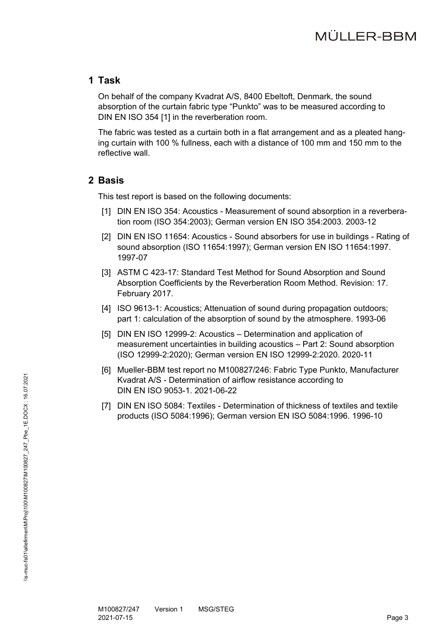### **1 Task**

On behalf of the company Kvadrat A/S, 8400 Ebeltoft, Denmark, the sound absorption of the curtain fabric type "Punkto" was to be measured according to DIN EN ISO 354 [1] in the reverberation room.

The fabric was tested as a curtain both in a flat arrangement and as a pleated hanging curtain with 100 % fullness, each with a distance of 100 mm and 150 mm to the reflective wall.

### **2 Basis**

This test report is based on the following documents:

- [1] DIN EN ISO 354: Acoustics Measurement of sound absorption in a reverberation room (ISO 354:2003); German version EN ISO 354:2003. 2003-12
- [2] DIN EN ISO 11654: Acoustics Sound absorbers for use in buildings Rating of sound absorption (ISO 11654:1997); German version EN ISO 11654:1997. 1997-07
- [3] ASTM C 423-17: Standard Test Method for Sound Absorption and Sound Absorption Coefficients by the Reverberation Room Method. Revision: 17. February 2017.
- [4] ISO 9613-1: Acoustics; Attenuation of sound during propagation outdoors; part 1: calculation of the absorption of sound by the atmosphere. 1993-06
- [5] DIN EN ISO 12999-2: Acoustics Determination and application of measurement uncertainties in building acoustics – Part 2: Sound absorption (ISO 12999-2:2020); German version EN ISO 12999-2:2020. 2020-11
- [6] Mueller-BBM test report no M100827/246: Fabric Type Punkto, Manufacturer Kvadrat A/S - Determination of airflow resistance according to DIN EN ISO 9053-1. 2021-06-22
- [7] DIN EN ISO 5084: Textiles Determination of thickness of textiles and textile products (ISO 5084:1996); German version EN ISO 5084:1996. 1996-10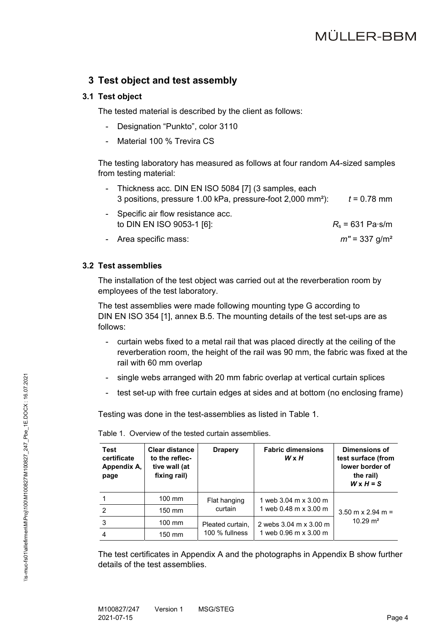## **3 Test object and test assembly**

#### **3.1 Test object**

The tested material is described by the client as follows:

- Designation "Punkto", color 3110
- Material 100 % Trevira CS

The testing laboratory has measured as follows at four random A4-sized samples from testing material:

- Thickness acc. DIN EN ISO 5084 [7] (3 samples, each 3 positions, pressure 1.00 kPa, pressure-foot 2,000 mm²): *t* = 0.78 mm
- Specific air flow resistance acc. to DIN EN ISO 9053-1 [6]: *R*s = 631 Pa⋅s/m
- Area specific mass: *m′′* = 337 g/m²

#### **3.2 Test assemblies**

The installation of the test object was carried out at the reverberation room by employees of the test laboratory.

The test assemblies were made following mounting type G according to DIN EN ISO 354 [1], annex B.5. The mounting details of the test set-ups are as follows:

- curtain webs fixed to a metal rail that was placed directly at the ceiling of the reverberation room, the height of the rail was 90 mm, the fabric was fixed at the rail with 60 mm overlap
- single webs arranged with 20 mm fabric overlap at vertical curtain splices
- test set-up with free curtain edges at sides and at bottom (no enclosing frame)

Testing was done in the test-assemblies as listed in Table 1.

| <b>Test</b><br>certificate<br>Appendix A,<br>page | <b>Clear distance</b><br>to the reflec-<br>tive wall (at<br>fixing rail) | <b>Drapery</b>   | <b>Fabric dimensions</b><br>$W \times H$ | Dimensions of<br>test surface (from<br>lower border of<br>the rail)<br>$W \times H = S$ |
|---------------------------------------------------|--------------------------------------------------------------------------|------------------|------------------------------------------|-----------------------------------------------------------------------------------------|
|                                                   | $100 \text{ mm}$                                                         | Flat hanging     | 1 web 3.04 m x 3.00 m                    |                                                                                         |
| $\overline{2}$                                    | $150$ mm                                                                 | curtain          | 1 web 0.48 m x 3.00 m                    | $3.50 \text{ m} \times 2.94 \text{ m} =$                                                |
| 3                                                 | $100 \text{ mm}$                                                         | Pleated curtain, | 2 webs 3.04 m x 3.00 m                   | $10.29 \text{ m}^2$                                                                     |
| $\overline{4}$                                    | 150 mm                                                                   | 100 % fullness   | 1 web 0.96 m x 3.00 m                    |                                                                                         |

Table 1. Overview of the tested curtain assemblies.

The test certificates in Appendix A and the photographs in Appendix B show further details of the test assemblies.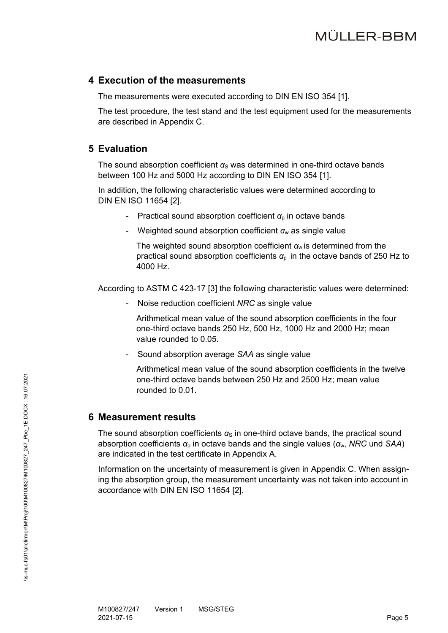#### **4 Execution of the measurements**

The measurements were executed according to DIN EN ISO 354 [1].

The test procedure, the test stand and the test equipment used for the measurements are described in Appendix C.

### **5 Evaluation**

The sound absorption coefficient  $a<sub>S</sub>$  was determined in one-third octave bands between 100 Hz and 5000 Hz according to DIN EN ISO 354 [1].

In addition, the following characteristic values were determined according to DIN EN ISO 11654 [2].

- Practical sound absorption coefficient *α*<sub>p</sub> in octave bands
- Weighted sound absorption coefficient *α*w as single value

The weighted sound absorption coefficient *α*w is determined from the practical sound absorption coefficients  $\alpha_{p}$  in the octave bands of 250 Hz to 4000 Hz.

According to ASTM C 423-17 [3] the following characteristic values were determined:

- Noise reduction coefficient *NRC* as single value

Arithmetical mean value of the sound absorption coefficients in the four one-third octave bands 250 Hz, 500 Hz, 1000 Hz and 2000 Hz; mean value rounded to 0.05.

- Sound absorption average *SAA* as single value

Arithmetical mean value of the sound absorption coefficients in the twelve one-third octave bands between 250 Hz and 2500 Hz; mean value rounded to 0.01.

### **6 Measurement results**

The sound absorption coefficients  $\alpha_{\rm s}$  in one-third octave bands, the practical sound absorption coefficients *α*p in octave bands and the single values (*α*w, *NRC* und *SAA*) are indicated in the test certificate in Appendix A.

Information on the uncertainty of measurement is given in Appendix C. When assigning the absorption group, the measurement uncertainty was not taken into account in accordance with DIN EN ISO 11654 [2].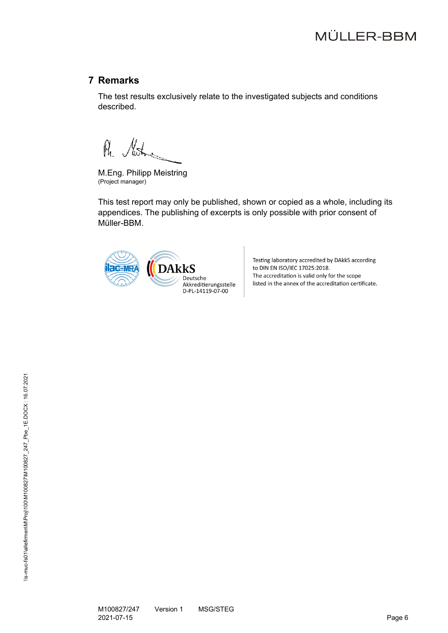## **7 Remarks**

The test results exclusively relate to the investigated subjects and conditions described.

Ph. Mother

M.Eng. Philipp Meistring (Project manager)

This test report may only be published, shown or copied as a whole, including its appendices. The publishing of excerpts is only possible with prior consent of Müller-BBM.



Testing laboratory accredited by DAkkS according to DIN EN ISO/IEC 17025:2018. The accreditation is valid only for the scope listed in the annex of the accreditation certificate.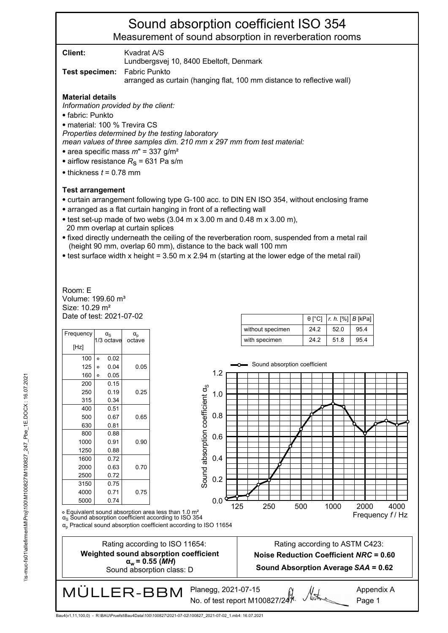**Client:** Kvadrat A/S

Lundbergsvej 10, 8400 Ebeltoft, Denmark

**Test specimen:** Fabric Punkto

arranged as curtain (hanging flat, 100 mm distance to reflective wall)

#### **Material details**

*Information provided by the client:*

⦁ fabric: Punkto

⦁ material: 100 % Trevira CS

*Properties determined by the testing laboratory* 

*mean values of three samples dim. 210 mm x 297 mm from test material:*

- ⦁ area specific mass *m*" = 337 g/m²
- airflow resistance  $R<sub>S</sub>$  = 631 Pa s/m
- $\bullet$  thickness  $t = 0.78$  mm

#### **Test arrangement**

- ⦁ curtain arrangement following type G-100 acc. to DIN EN ISO 354, without enclosing frame
- ⦁ arranged as a flat curtain hanging in front of a reflecting wall
- $\bullet$  test set-up made of two webs (3.04 m x 3.00 m and 0.48 m x 3.00 m), 20 mm overlap at curtain splices
- ⦁ fixed directly underneath the ceiling of the reverberation room, suspended from a metal rail (height 90 mm, overlap 60 mm), distance to the back wall 100 mm
- ⦁ test surface width x height = 3.50 m x 2.94 m (starting at the lower edge of the metal rail)

Date of test: 2021-07-02 Size: 10.29 m² Volume: 199.60 m³ Room: E

| Frequency |         | $\alpha_{\rm S}$<br>1/3 octave | $\alpha_{\rm p}$<br>octave |
|-----------|---------|--------------------------------|----------------------------|
| [Hz]      |         |                                |                            |
| 100       | $\circ$ | 0.02                           |                            |
| 125       | $\circ$ | 0.04                           | 0.05                       |
| 160       | $\circ$ | 0.05                           |                            |
| 200       |         | 0.15                           |                            |
| 250       |         | 0.19                           | 0.25                       |
| 315       |         | 0.34                           |                            |
| 400       |         | 0.51                           |                            |
| 500       |         | 0.67                           | 0.65                       |
| 630       |         | 0.81                           |                            |
| 800       |         | 0.88                           |                            |
| 1000      |         | 0.91                           | 0.90                       |
| 1250      |         | 0.88                           |                            |
| 1600      |         | 0.72                           |                            |
| 2000      |         | 0.63                           | 0.70                       |
| 2500      |         | 0.72                           |                            |
| 3150      |         | 0.75                           |                            |
| 4000      |         | 0.71                           | 0.75                       |
| 5000      |         | 0.74                           |                            |

|                  |      | $\theta$ [°C]   r. h. [%]   B [kPa] |      |
|------------------|------|-------------------------------------|------|
| without specimen | 24.2 | 52.0                                | 95.4 |
| with specimen    | 24.2 | 51.8                                | 95.4 |



αp Practical sound absorption coefficient according to ISO 11654

Bau4(v1,11,100,0) - R:\BAU\Pruefst\Bau4Data\100\100827\2021-07-02\100827\_2021-07-02\_1.mb4: 16.07.2021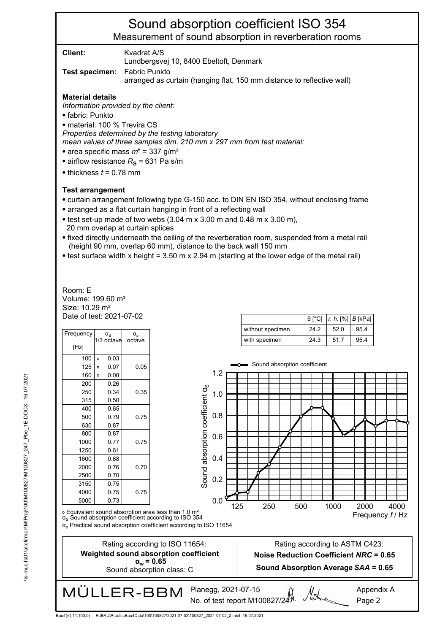**Client:** Kvadrat A/S

Lundbergsvej 10, 8400 Ebeltoft, Denmark

**Test specimen:** Fabric Punkto

arranged as curtain (hanging flat, 150 mm distance to reflective wall)

#### **Material details**

*Information provided by the client:*

⦁ fabric: Punkto

⦁ material: 100 % Trevira CS

*Properties determined by the testing laboratory* 

*mean values of three samples dim. 210 mm x 297 mm from test material:*

- ⦁ area specific mass *m*" = 337 g/m²
- airflow resistance  $R<sub>S</sub>$  = 631 Pa s/m
- $\bullet$  thickness  $t = 0.78$  mm

#### **Test arrangement**

- ⦁ curtain arrangement following type G-150 acc. to DIN EN ISO 354, without enclosing frame
- ⦁ arranged as a flat curtain hanging in front of a reflecting wall
- $\bullet$  test set-up made of two webs (3.04 m x 3.00 m and 0.48 m x 3.00 m), 20 mm overlap at curtain splices
- ⦁ fixed directly underneath the ceiling of the reverberation room, suspended from a metal rail (height 90 mm, overlap 60 mm), distance to the back wall 150 mm
- ⦁ test surface width x height = 3.50 m x 2.94 m (starting at the lower edge of the metal rail)

Date of test: 2021-07-02 Size: 10.29 m² Volume: 199.60 m³ Room: E

| Frequency |         | $\alpha_{\rm S}$<br>1/3 octave | $\alpha_{\rm p}$<br>octave |
|-----------|---------|--------------------------------|----------------------------|
| [Hz]      |         |                                |                            |
| 100       | $\circ$ | 0.03                           |                            |
| 125       | $\circ$ | 0.07                           | 0.05                       |
| 160       | $\circ$ | 0.08                           |                            |
| 200       |         | 0.26                           |                            |
| 250       |         | 0.34                           | 0.35                       |
| 315       |         | 0.50                           |                            |
| 400       |         | 0.65                           |                            |
| 500       |         | 0.79                           | 0.75                       |
| 630       |         | 0.87                           |                            |
| 800       |         | 0.87                           |                            |
| 1000      |         | 0.77                           | 0.75                       |
| 1250      |         | 0.61                           |                            |
| 1600      |         | 0.68                           |                            |
| 2000      |         | 0.76                           | 0.70                       |
| 2500      |         | 0.70                           |                            |
| 3150      |         | 0.75                           |                            |
| 4000      |         | 0.75                           | 0.75                       |
| 5000      |         | 0.73                           |                            |

|                  |      |      | $\theta$ [°C]   r. h. [%]   B [kPa] |
|------------------|------|------|-------------------------------------|
| without specimen | 24.2 | 52.0 | 95.4                                |
| with specimen    | 24.3 | 51.7 | 95.4                                |



∘ Equivalent sound absorption area less than 1.0 m²<br>α<sub>s</sub> Sound absorption coefficient according to ISO 354

αp Practical sound absorption coefficient according to ISO 11654

Rating according to ISO 11654: **Weighted sound absorption coefficient**  $α<sub>w</sub> = 0.65$ 

Sound absorption class: C

**MÜLLER-BBM** Planegg, 2021-07-15 No. of test report M100827/247

Page 2

Bau4(v1,11,100,0) - R:\BAU\Pruefst\Bau4Data\100\100827\2021-07-02\100827\_2021-07-02\_2.mb4: 16.07.2021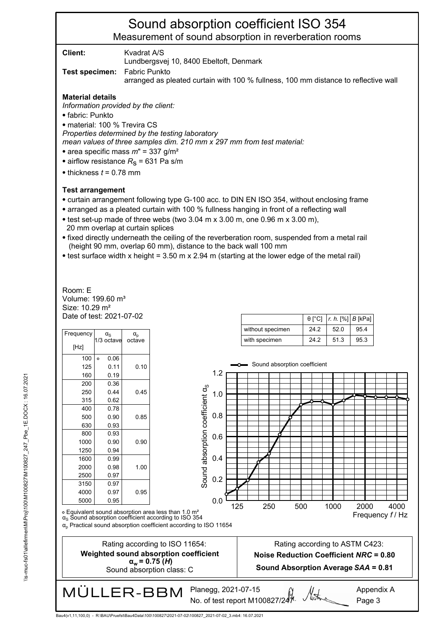**Client:** Kvadrat A/S

Lundbergsvej 10, 8400 Ebeltoft, Denmark

**Test specimen:** Fabric Punkto

arranged as pleated curtain with 100 % fullness, 100 mm distance to reflective wall

#### **Material details**

*Information provided by the client:*

⦁ fabric: Punkto

⦁ material: 100 % Trevira CS

*Properties determined by the testing laboratory* 

*mean values of three samples dim. 210 mm x 297 mm from test material:*

- ⦁ area specific mass *m*" = 337 g/m²
- airflow resistance  $R<sub>S</sub>$  = 631 Pa s/m
- $\bullet$  thickness  $t = 0.78$  mm

#### **Test arrangement**

- ⦁ curtain arrangement following type G-100 acc. to DIN EN ISO 354, without enclosing frame
- ⦁ arranged as a pleated curtain with 100 % fullness hanging in front of a reflecting wall
- ⦁ test set-up made of three webs (two 3.04 m x 3.00 m, one 0.96 m x 3.00 m), 20 mm overlap at curtain splices
- ⦁ fixed directly underneath the ceiling of the reverberation room, suspended from a metal rail (height 90 mm, overlap 60 mm), distance to the back wall 100 mm
- ⦁ test surface width x height = 3.50 m x 2.94 m (starting at the lower edge of the metal rail)

Date of test: 2021-07-02 Size: 10.29 m² Volume: 199.60 m³ Room: E

| Frequency | $\alpha_{\rm s}$ | $\alpha_{\text{p}}$ |
|-----------|------------------|---------------------|
| [Hz]      | 1/3 octave       | octave              |
| 100       | 0.06<br>$\circ$  |                     |
| 125       | 0.11             | 0.10                |
| 160       | 0.19             |                     |
| 200       | 0.36             |                     |
| 250       | 0.44             | 0.45                |
| 315       | 0.62             |                     |
| 400       | 0.78             |                     |
| 500       | 0.90             | 0.85                |
| 630       | 0.93             |                     |
| 800       | 0.93             |                     |
| 1000      | 0.90             | 0.90                |
| 1250      | 0.94             |                     |
| 1600      | 0.99             |                     |
| 2000      | 0.98             | 1.00                |
| 2500      | 0.97             |                     |
| 3150      | 0.97             |                     |
| 4000      | 0.97             | 0.95                |
| 5000      | 0.95             |                     |

|                  |      | $\theta$ [°C]   r. h. [%]   B [kPa] |      |
|------------------|------|-------------------------------------|------|
| without specimen | 24.2 | 52.0                                | 95.4 |
| with specimen    | 24.2 | 51.3                                | 95.3 |



∘ Equivalent sound absorption area less than 1.0 m²<br>α<sub>s</sub> Sound absorption coefficient according to ISO 354

αp Practical sound absorption coefficient according to ISO 11654

Bau4(v1,11,100,0) - R:\BAU\Pruefst\Bau4Data\100\100827\2021-07-02\100827\_2021-07-02\_3.mb4: 16.07.2021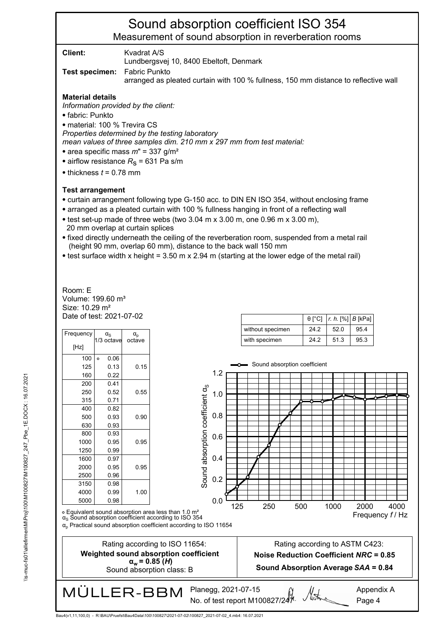**Client:** Kvadrat A/S

Lundbergsvej 10, 8400 Ebeltoft, Denmark

**Test specimen:** Fabric Punkto

arranged as pleated curtain with 100 % fullness, 150 mm distance to reflective wall

#### **Material details**

*Information provided by the client:*

⦁ fabric: Punkto

⦁ material: 100 % Trevira CS

*Properties determined by the testing laboratory* 

*mean values of three samples dim. 210 mm x 297 mm from test material:*

- ⦁ area specific mass *m*" = 337 g/m²
- airflow resistance  $R<sub>S</sub>$  = 631 Pa s/m
- $\bullet$  thickness  $t = 0.78$  mm

#### **Test arrangement**

- ⦁ curtain arrangement following type G-150 acc. to DIN EN ISO 354, without enclosing frame
- ⦁ arranged as a pleated curtain with 100 % fullness hanging in front of a reflecting wall
- ⦁ test set-up made of three webs (two 3.04 m x 3.00 m, one 0.96 m x 3.00 m), 20 mm overlap at curtain splices
- ⦁ fixed directly underneath the ceiling of the reverberation room, suspended from a metal rail (height 90 mm, overlap 60 mm), distance to the back wall 150 mm
- ⦁ test surface width x height = 3.50 m x 2.94 m (starting at the lower edge of the metal rail)

Date of test: 2021-07-02 Size: 10.29 m² Volume: 199.60 m³ Room: E

| Frequency | $\alpha_{\rm S}$<br>1/3 octave | $\alpha_{p}$<br>octave |
|-----------|--------------------------------|------------------------|
| [Hz]      |                                |                        |
| 100       | 0.06<br>$\circ$                |                        |
| 125       | 0.13                           | 0.15                   |
| 160       | 0.22                           |                        |
| 200       | 0.41                           |                        |
| 250       | 0.52                           | 0.55                   |
| 315       | 0.71                           |                        |
| 400       | 0.82                           |                        |
| 500       | 0.93                           | 0.90                   |
| 630       | 0.93                           |                        |
| 800       | 0.93                           |                        |
| 1000      | 0.95                           | 0.95                   |
| 1250      | 0.99                           |                        |
| 1600      | 0.97                           |                        |
| 2000      | 0.95                           | 0.95                   |
| 2500      | 0.96                           |                        |
| 3150      | 0.98                           |                        |
| 4000      | 0.99                           | 1.00                   |
| 5000      | 0.98                           |                        |

|                  |      | $\theta$ [°C]   r. h. [%]   B [kPa] |      |
|------------------|------|-------------------------------------|------|
| without specimen | 24.2 | 52.0                                | 954  |
| with specimen    | 24.2 | 51.3                                | 95.3 |

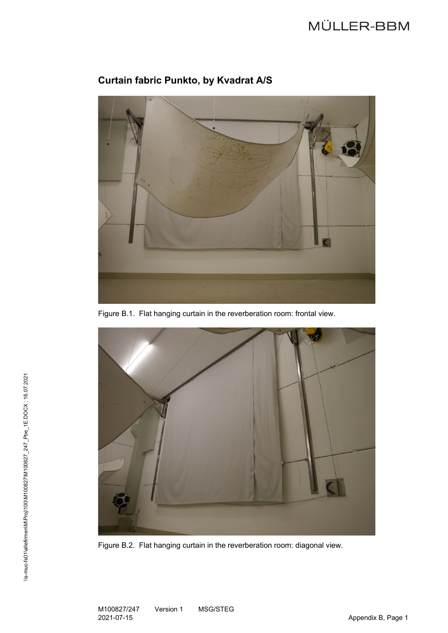

# **Curtain fabric Punkto, by Kvadrat A/S**

Figure B.1. Flat hanging curtain in the reverberation room: frontal view.



Figure B.2. Flat hanging curtain in the reverberation room: diagonal view.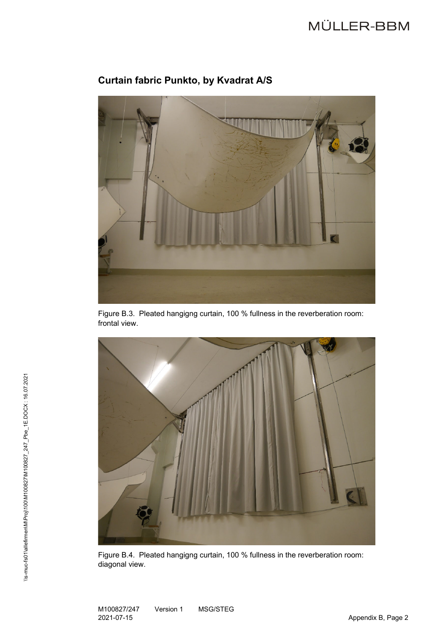

# **Curtain fabric Punkto, by Kvadrat A/S**

Figure B.3. Pleated hangigng curtain, 100 % fullness in the reverberation room: frontal view.



Figure B.4. Pleated hangigng curtain, 100 % fullness in the reverberation room: diagonal view.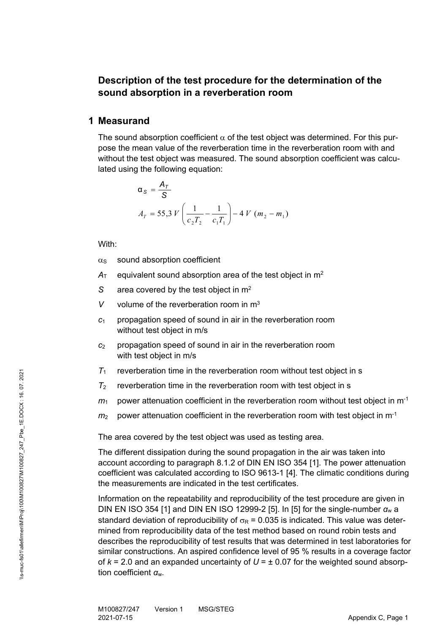## **Description of the test procedure for the determination of the sound absorption in a reverberation room**

#### **1 Measurand**

The sound absorption coefficient  $\alpha$  of the test object was determined. For this purpose the mean value of the reverberation time in the reverberation room with and without the test object was measured. The sound absorption coefficient was calculated using the following equation:

$$
\alpha_{s} = \frac{A_{T}}{S}
$$
  

$$
A_{T} = 55,3 \ V \left( \frac{1}{c_{2}T_{2}} - \frac{1}{c_{1}T_{1}} \right) - 4 \ V \ (m_{2} - m_{1})
$$

With:

- $\alpha$ <sub>S</sub> sound absorption coefficient
- $A<sub>T</sub>$  equivalent sound absorption area of the test object in  $m<sup>2</sup>$
- *S* area covered by the test object in m2
- *V* volume of the reverberation room in  $m<sup>3</sup>$
- *c*<sup>1</sup> propagation speed of sound in air in the reverberation room without test object in m/s
- *c*<sup>2</sup> propagation speed of sound in air in the reverberation room with test object in m/s
- $T_1$  reverberation time in the reverberation room without test object in s
- $T_2$  reverberation time in the reverberation room with test object in s
- $m_1$  power attenuation coefficient in the reverberation room without test object in m<sup>-1</sup>
- $m<sub>2</sub>$  power attenuation coefficient in the reverberation room with test object in m<sup>-1</sup>

The area covered by the test object was used as testing area.

The different dissipation during the sound propagation in the air was taken into account according to paragraph 8.1.2 of DIN EN ISO 354 [1]. The power attenuation coefficient was calculated according to ISO 9613-1 [4]. The climatic conditions during the measurements are indicated in the test certificates.

Information on the repeatability and reproducibility of the test procedure are given in DIN EN ISO 354 [1] and DIN EN ISO 12999-2 [5]. In [5] for the single-number  $\alpha_w$  a standard deviation of reproducibility of  $\sigma_R$  = 0.035 is indicated. This value was determined from reproducibility data of the test method based on round robin tests and describes the reproducibility of test results that was determined in test laboratories for similar constructions. An aspired confidence level of 95 % results in a coverage factor of  $k = 2.0$  and an expanded uncertainty of  $U = \pm 0.07$  for the weighted sound absorption coefficient *α*w.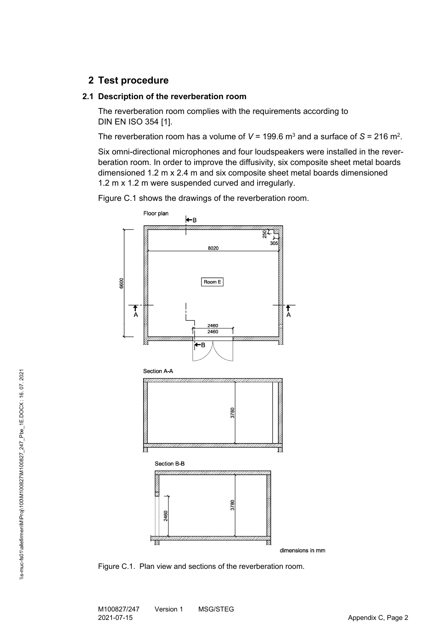## **2 Test procedure**

#### **2.1 Description of the reverberation room**

The reverberation room complies with the requirements according to DIN EN ISO 354 [1].

The reverberation room has a volume of  $V = 199.6$  m<sup>3</sup> and a surface of  $S = 216$  m<sup>2</sup>.

Six omni-directional microphones and four loudspeakers were installed in the reverberation room. In order to improve the diffusivity, six composite sheet metal boards dimensioned 1.2 m x 2.4 m and six composite sheet metal boards dimensioned 1.2 m x 1.2 m were suspended curved and irregularly.

Figure C.1 shows the drawings of the reverberation room.



Figure C.1. Plan view and sections of the reverberation room.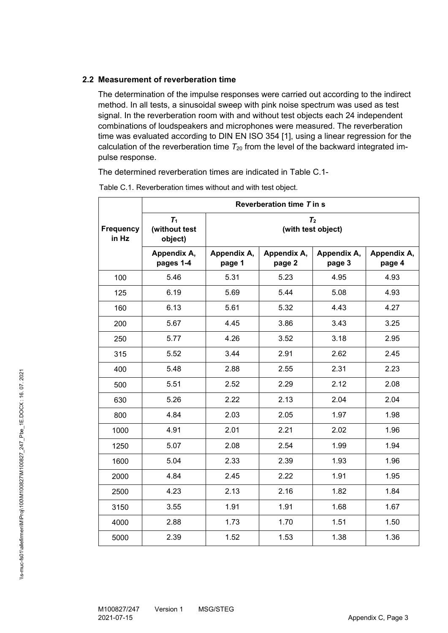#### **2.2 Measurement of reverberation time**

The determination of the impulse responses were carried out according to the indirect method. In all tests, a sinusoidal sweep with pink noise spectrum was used as test signal. In the reverberation room with and without test objects each 24 independent combinations of loudspeakers and microphones were measured. The reverberation time was evaluated according to DIN EN ISO 354 [1], using a linear regression for the calculation of the reverberation time  $T_{20}$  from the level of the backward integrated impulse response.

The determined reverberation times are indicated in Table C.1-

|                           |                                   |                                      | Reverberation time T in s |                       |                       |
|---------------------------|-----------------------------------|--------------------------------------|---------------------------|-----------------------|-----------------------|
| <b>Frequency</b><br>in Hz | $T_1$<br>(without test<br>object) | T <sub>2</sub><br>(with test object) |                           |                       |                       |
|                           | Appendix A,<br>pages 1-4          | Appendix A,<br>page 1                | Appendix A,<br>page 2     | Appendix A,<br>page 3 | Appendix A,<br>page 4 |
| 100                       | 5.46                              | 5.31                                 | 5.23                      | 4.95                  | 4.93                  |
| 125                       | 6.19                              | 5.69                                 | 5.44                      | 5.08                  | 4.93                  |
| 160                       | 6.13                              | 5.61                                 | 5.32                      | 4.43                  | 4.27                  |
| 200                       | 5.67                              | 4.45                                 | 3.86                      | 3.43                  | 3.25                  |
| 250                       | 5.77                              | 4.26                                 | 3.52                      | 3.18                  | 2.95                  |
| 315                       | 5.52                              | 3.44                                 | 2.91                      | 2.62                  | 2.45                  |
| 400                       | 5.48                              | 2.88                                 | 2.55                      | 2.31                  | 2.23                  |
| 500                       | 5.51                              | 2.52                                 | 2.29                      | 2.12                  | 2.08                  |
| 630                       | 5.26                              | 2.22                                 | 2.13                      | 2.04                  | 2.04                  |
| 800                       | 4.84                              | 2.03                                 | 2.05                      | 1.97                  | 1.98                  |
| 1000                      | 4.91                              | 2.01                                 | 2.21                      | 2.02                  | 1.96                  |
| 1250                      | 5.07                              | 2.08                                 | 2.54                      | 1.99                  | 1.94                  |
| 1600                      | 5.04                              | 2.33                                 | 2.39                      | 1.93                  | 1.96                  |
| 2000                      | 4.84                              | 2.45                                 | 2.22                      | 1.91                  | 1.95                  |
| 2500                      | 4.23                              | 2.13                                 | 2.16                      | 1.82                  | 1.84                  |
| 3150                      | 3.55                              | 1.91                                 | 1.91                      | 1.68                  | 1.67                  |
| 4000                      | 2.88                              | 1.73                                 | 1.70                      | 1.51                  | 1.50                  |
| 5000                      | 2.39                              | 1.52                                 | 1.53                      | 1.38                  | 1.36                  |

Table C.1. Reverberation times without and with test object.